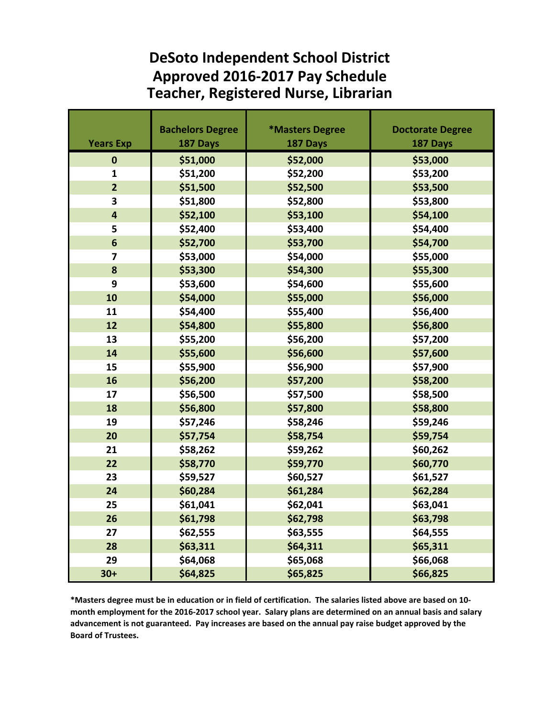## **DeSoto Independent School District Approved 2016-2017 Pay Schedule Teacher, Registered Nurse, Librarian**

|                         | <b>Bachelors Degree</b> | *Masters Degree | <b>Doctorate Degree</b> |
|-------------------------|-------------------------|-----------------|-------------------------|
| <b>Years Exp</b>        | 187 Days                | 187 Days        | 187 Days                |
| $\bf{0}$                | \$51,000                | \$52,000        | \$53,000                |
| 1                       | \$51,200                | \$52,200        | \$53,200                |
| $\overline{2}$          | \$51,500                | \$52,500        | \$53,500                |
| 3                       | \$51,800                | \$52,800        | \$53,800                |
| $\overline{\mathbf{4}}$ | \$52,100                | \$53,100        | \$54,100                |
| 5                       | \$52,400                | \$53,400        | \$54,400                |
| 6                       | \$52,700                | \$53,700        | \$54,700                |
| $\overline{7}$          | \$53,000                | \$54,000        | \$55,000                |
| 8                       | \$53,300                | \$54,300        | \$55,300                |
| 9                       | \$53,600                | \$54,600        | \$55,600                |
| 10                      | \$54,000                | \$55,000        | \$56,000                |
| 11                      | \$54,400                | \$55,400        | \$56,400                |
| 12                      | \$54,800                | \$55,800        | \$56,800                |
| 13                      | \$55,200                | \$56,200        | \$57,200                |
| 14                      | \$55,600                | \$56,600        | \$57,600                |
| 15                      | \$55,900                | \$56,900        | \$57,900                |
| 16                      | \$56,200                | \$57,200        | \$58,200                |
| 17                      | \$56,500                | \$57,500        | \$58,500                |
| 18                      | \$56,800                | \$57,800        | \$58,800                |
| 19                      | \$57,246                | \$58,246        | \$59,246                |
| 20                      | \$57,754                | \$58,754        | \$59,754                |
| 21                      | \$58,262                | \$59,262        | \$60,262                |
| 22                      | \$58,770                | \$59,770        | \$60,770                |
| 23                      | \$59,527                | \$60,527        | \$61,527                |
| 24                      | \$60,284                | \$61,284        | \$62,284                |
| 25                      | \$61,041                | \$62,041        | \$63,041                |
| 26                      | \$61,798                | \$62,798        | \$63,798                |
| 27                      | \$62,555                | \$63,555        | \$64,555                |
| 28                      | \$63,311                | \$64,311        | \$65,311                |
| 29                      | \$64,068                | \$65,068        | \$66,068                |
| $30+$                   | \$64,825                | \$65,825        | \$66,825                |

**\*Masters degree must be in education or in field of certification. The salaries listed above are based on 10 month employment for the 2016-2017 school year. Salary plans are determined on an annual basis and salary advancement is not guaranteed. Pay increases are based on the annual pay raise budget approved by the Board of Trustees.**